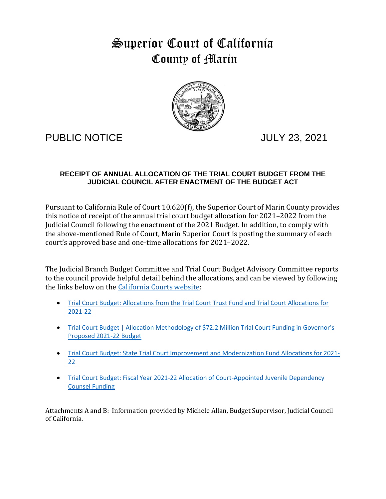# Superior Court of California County of Marin



PUBLIC NOTICE JULY 23, 2021

# **RECEIPT OF ANNUAL ALLOCATION OF THE TRIAL COURT BUDGET FROM THE JUDICIAL COUNCIL AFTER ENACTMENT OF THE BUDGET ACT**

Pursuant to California Rule of Court 10.620(f), the Superior Court of Marin County provides this notice of receipt of the annual trial court budget allocation for 2021–2022 from the Judicial Council following the enactment of the 2021 Budget. In addition, to comply with the above-mentioned Rule of Court, Marin Superior Court is posting the summary of each court's approved base and one-time allocations for 2021–2022.

The Judicial Branch Budget Committee and Trial Court Budget Advisory Committee reports to the council provide helpful detail behind the allocations, and can be viewed by following the links below on the [California Courts website:](http://www.courts.ca.gov/)

- [Trial Court Budget: Allocations from the Trial Court Trust Fund and Trial Court Allocations for](https://jcc.legistar.com/View.ashx?M=F&ID=9503183&GUID=6AEC14FF-C7BD-455E-9B5B-86E521702022)  [2021-22](https://jcc.legistar.com/View.ashx?M=F&ID=9503183&GUID=6AEC14FF-C7BD-455E-9B5B-86E521702022)
- Trial Court Budget | Allocation Methodology of \$72.2 Million Trial Court Funding in Governor's [Proposed 2021-22 Budget](https://jcc.legistar.com/View.ashx?M=F&ID=9499530&GUID=797D4736-AE15-43D3-84D7-4676D4D7C4B0)
- [Trial Court Budget: State Trial Court Improvement and Modernization Fund Allocations for 2021-](https://jcc.legistar.com/View.ashx?M=F&ID=9508493&GUID=3C9CB987-3755-4398-975C-C60386BBEB1B) [22](https://jcc.legistar.com/View.ashx?M=F&ID=9508493&GUID=3C9CB987-3755-4398-975C-C60386BBEB1B)
- [Trial Court Budget: Fiscal Year 2021-22 Allocation of Court-Appointed Juvenile Dependency](https://jcc.legistar.com/View.ashx?M=F&ID=9601126&GUID=FD1AD78B-AF34-4EF2-9AB5-9F9C2501C90C)  [Counsel Funding](https://jcc.legistar.com/View.ashx?M=F&ID=9601126&GUID=FD1AD78B-AF34-4EF2-9AB5-9F9C2501C90C)

Attachments A and B: Information provided by Michele Allan, Budget Supervisor, Judicial Council of California.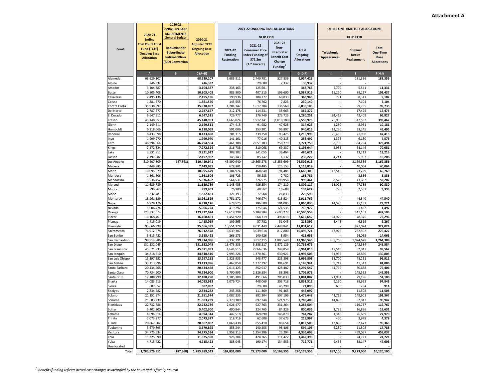#### **Attachment A**

|                                | 2020-21                                                                                              | 2020-21<br><b>ONGOING BASE</b><br><b>ADJUSTMENTS</b><br><b>General Ledger</b><br><b>Reduction for</b><br><b>Subordinate</b><br><b>Judicial Officer</b><br>(SJO) Conversion | 2020-21<br><b>Adjusted TCTF</b><br><b>Ongoing Base</b><br><b>Allocation</b> |                                                 | 2021-22 ONGOING BASE ALLOCATIONS                                                        |                                                                                         | OTHER ONE-TIME TCTF ALLOCATIONS               |                                         |                                    |                                                               |
|--------------------------------|------------------------------------------------------------------------------------------------------|----------------------------------------------------------------------------------------------------------------------------------------------------------------------------|-----------------------------------------------------------------------------|-------------------------------------------------|-----------------------------------------------------------------------------------------|-----------------------------------------------------------------------------------------|-----------------------------------------------|-----------------------------------------|------------------------------------|---------------------------------------------------------------|
|                                | <b>Ending</b><br><b>Trial Court Trust</b><br>Fund (TCTF)<br><b>Ongoing Base</b><br><b>Allocation</b> |                                                                                                                                                                            |                                                                             |                                                 | GL 812110                                                                               |                                                                                         | GL 812110                                     |                                         |                                    |                                                               |
| Court                          |                                                                                                      |                                                                                                                                                                            |                                                                             | 2021-22<br><b>Funding</b><br><b>Restoration</b> | 2021-22<br><b>Consumer Price</b><br><b>Index Funding of</b><br>\$72.2m<br>(3.7 Percent) | 2021-22<br>Non-<br>Interpreter<br><b>Benefit Cost</b><br>Change<br>Funding <sup>1</sup> | <b>Total</b><br>Ongoing<br><b>Allocations</b> | <b>Telephonic</b><br><b>Appearances</b> | Criminal<br>Justice<br>Realignment | <b>Total</b><br>One-Time<br><b>Base</b><br><b>Allocations</b> |
|                                | A                                                                                                    | B                                                                                                                                                                          | $C(A+B)$                                                                    | D                                               | E                                                                                       | F                                                                                       | G(D:F)                                        | н                                       |                                    | J(H:1)                                                        |
| Alameda                        | 68,629,107                                                                                           |                                                                                                                                                                            | 68,629,107                                                                  | 6,685,811                                       | 2,740,781                                                                               | 527,836                                                                                 | 9,954,428                                     |                                         | 181,356                            | 181,356                                                       |
| Alpine                         | 746,332                                                                                              |                                                                                                                                                                            | 746,332                                                                     |                                                 | 29,600                                                                                  | 7,332                                                                                   | 36,932                                        |                                         |                                    |                                                               |
| Amador<br><b>Butte</b>         | 3,104,387<br>10,805,408                                                                              |                                                                                                                                                                            | 3,104,387<br>10,805,408                                                     | 238,163<br>983,800                              | 125,601<br>407.515                                                                      | 196,600                                                                                 | 363,765<br>1,587,915                          | 5,790<br>15,210                         | 5,541<br>88,227                    | 11,331<br>103,437                                             |
| Calaveras                      | 2,495,136                                                                                            |                                                                                                                                                                            | 2,495,136                                                                   | 190,936                                         | 104,177                                                                                 | 68,833                                                                                  | 363,946                                       | 791                                     | 8,311                              | 9,102                                                         |
| Colusa                         | 1,881,570                                                                                            |                                                                                                                                                                            | 1,881,570                                                                   | 145,555                                         | 76,762                                                                                  | 7,823                                                                                   | 230,140                                       |                                         | 7,104                              | 7,104                                                         |
| Contra Costa                   | 35,938,897                                                                                           |                                                                                                                                                                            | 35,938,897                                                                  | 4,284,342                                       | 1,617,204                                                                               | 136,560                                                                                 | 6,038,106                                     |                                         | 99,735                             | 99,735                                                        |
| Del Norte                      | 2,787,677                                                                                            |                                                                                                                                                                            | 2,787,677                                                                   | 212,178                                         | 114,231                                                                                 | 35,963                                                                                  | 362,372                                       |                                         | 17,475                             | 17,475                                                        |
| El Dorado                      | 6,647,511                                                                                            |                                                                                                                                                                            | 6,647,511                                                                   | 729,777                                         | 276,749                                                                                 | 273,725                                                                                 | 1,280,251                                     | 24,418                                  | 42,409                             | 66,827                                                        |
| Fresno                         | 45,148,953                                                                                           |                                                                                                                                                                            | 45,148,953                                                                  | 4,665,024                                       | 1,912,141                                                                               | (1,018,189)                                                                             | 5,558,976                                     | 75,930                                  | 317,532                            | 393,462                                                       |
| Glenn<br>Humboldt              | 2,149,511                                                                                            |                                                                                                                                                                            | 2,149,511                                                                   | 174,415                                         | 91,982<br>253,201                                                                       | 47,625<br>95,807                                                                        | 314,023<br>940,016                            | 1,230                                   | 8,951<br>33,245                    | 10,181<br>45,495                                              |
| Imperial                       | 6,118,069<br>8,433,698                                                                               |                                                                                                                                                                            | 6,118,069<br>8,433,698                                                      | 591,009<br>781,315                              | 339,258                                                                                 | 93,425                                                                                  | 1,213,998                                     | 12,250<br>25,465                        | 21,950                             | 47,415                                                        |
| Inyo                           | 1,999,970                                                                                            |                                                                                                                                                                            | 1,999,970                                                                   | 141,161                                         | 77,016                                                                                  | 40,315                                                                                  | 258,492                                       | 1,395                                   | 6,180                              | 7,575                                                         |
| Kern                           | 46,294,564                                                                                           |                                                                                                                                                                            | 46,294,564                                                                  | 5,461,188                                       | 2,051,783                                                                               | 258,779                                                                                 | 7,771,750                                     | 38,700                                  | 334,794                            | 373,494                                                       |
| Kings                          | 7,272,324                                                                                            |                                                                                                                                                                            | 7,272,324                                                                   | 816,738                                         | 310,068                                                                                 | 69,237                                                                                  | 1,196,044                                     | 5,935                                   | 64,146                             | 70,081                                                        |
| Lake                           | 3,831,912                                                                                            |                                                                                                                                                                            | 3,831,912                                                                   | 308,102                                         | 141,055                                                                                 | 36,464                                                                                  | 485,621                                       |                                         | 13,213                             | 13,213                                                        |
| Lassen                         | 2,197,982                                                                                            |                                                                                                                                                                            | 2,197,982                                                                   | 145,343                                         | 85,747                                                                                  | 4,132                                                                                   | 235,222                                       | 4,241                                   | 5,967                              | 10,208                                                        |
| Los Angeles                    | 510,607,309                                                                                          | (187, 368)                                                                                                                                                                 | 510,419,941                                                                 | 43,390,940                                      | 19,865,278                                                                              | 13,253,699                                                                              | 76,509,918                                    |                                         | 3,169,356                          | 3,169,356                                                     |
| Madera                         | 7,449,985                                                                                            |                                                                                                                                                                            | 7,449,985                                                                   | 678,181<br>1,104,974                            | 310,485<br>468.848                                                                      | 125,153<br>94,481                                                                       | 1,113,819                                     | 42,540                                  | 40,064<br>23,229                   | 40,064                                                        |
| Marin<br>Mariposa              | 10,095,679<br>1.361.806                                                                              |                                                                                                                                                                            | 10,095,679<br>1,361,806                                                     | 106.723                                         | 56,283                                                                                  | 2,782                                                                                   | 1,668,303<br>165,789                          |                                         | 3,836                              | 65,769<br>3,836                                               |
| Mendocino                      | 5,536,452                                                                                            |                                                                                                                                                                            | 5,536,452                                                                   | 564,531                                         | 226,975                                                                                 | 198,956                                                                                 | 990,461                                       | 8,520                                   | 43,687                             | 52,207                                                        |
| Merced                         | 11,639,789                                                                                           |                                                                                                                                                                            | 11,639,789                                                                  | 1,148,453                                       | 486,354                                                                                 | 174,310                                                                                 | 1,809,117                                     | 13,095                                  | 77,785                             | 90,880                                                        |
| Modoc                          | 999,963                                                                                              |                                                                                                                                                                            | 999,963                                                                     | 76,380                                          | 40,562                                                                                  | 16,680                                                                                  | 133,622                                       | 776                                     | 2,557                              | 3,333                                                         |
| Mono                           | 1,832,481                                                                                            |                                                                                                                                                                            | 1,832,481                                                                   | 121,193                                         | 77,564                                                                                  | 21,833                                                                                  | 220,590                                       |                                         |                                    |                                                               |
| Monterey                       | 18,961,529                                                                                           |                                                                                                                                                                            | 18,961,529                                                                  | 1,751,272                                       | 746,974                                                                                 | 413,524                                                                                 | 2,911,769                                     |                                         | 44,540                             | 44,540                                                        |
| Napa                           | 6,878,176                                                                                            |                                                                                                                                                                            | 6,878,176                                                                   | 678,525                                         | 286,500                                                                                 | 101,005                                                                                 | 1,066,030                                     | 14,590                                  | 15,131                             | 29,721                                                        |
| Nevada                         | 5,006,724                                                                                            |                                                                                                                                                                            | 5,006,724                                                                   | 419,792                                         | 175,646                                                                                 | 124,535                                                                                 | 719,972                                       |                                         | 1,492                              | 1,492                                                         |
| Orange<br>Placer               | 123,832,674<br>16,168,461                                                                            |                                                                                                                                                                            | 123,832,674<br>16,168,461                                                   | 12,618,298<br>1,451,920                         | 5,284,984<br>664,719                                                                    | 2,603,277<br>496,013                                                                    | 20,506,559<br>2,612,652                       | 24,920                                  | 447,103<br>48,376                  | 447,103<br>73,296                                             |
| Plumas                         | 1,415,019                                                                                            |                                                                                                                                                                            | 1,415,019                                                                   | 109,565                                         | 57,782                                                                                  | 51,045                                                                                  | 218,392                                       | 2,448                                   | 6,819                              | 9,267                                                         |
| Riverside                      | 95,666,399                                                                                           |                                                                                                                                                                            | 95,666,399                                                                  | 10,551,328                                      | 4,031,449                                                                               | 2,448,841                                                                               | 17,031,617                                    |                                         | 927,024                            | 927,024                                                       |
| Sacramento                     | 76,912,578                                                                                           |                                                                                                                                                                            | 76,912,578                                                                  | 6,639,307                                       | 3,039,614                                                                               | 817,800                                                                                 | 10,496,721                                    | 43,920                                  | 232,502                            | 276,422                                                       |
| San Benito                     | 3,615,422                                                                                            |                                                                                                                                                                            | 3,615,422                                                                   | 266,273                                         | 140,426                                                                                 | 8,954                                                                                   | 415,653                                       |                                         | 14,065                             | 14,065                                                        |
| San Bernardino                 | 99,914,986                                                                                           |                                                                                                                                                                            | 99,914,986                                                                  | 8,337,791                                       | 3,817,215                                                                               | 1,805,540                                                                               | 13,960,546                                    | 239,760                                 | 1,024,628                          | 1,264,388                                                     |
| San Diego                      | 131,332,045                                                                                          |                                                                                                                                                                            | 131,332,045                                                                 | 13,475,333                                      | 5,388,217                                                                               | 1,872,129                                                                               | 20,735,679                                    |                                         | 243.584                            | 243,584                                                       |
| San Francisco                  | 45,671,933                                                                                           |                                                                                                                                                                            | 45,671,933                                                                  | 4,644,515                                       | 2,066,636                                                                               | 249,859                                                                                 | 6,961,010                                     | 17,515                                  | 82,047                             | 99,562                                                        |
| San Joaquin<br>San Luis Obispo | 34,818,510<br>13,297,252                                                                             |                                                                                                                                                                            | 34,818,510<br>13,297,252                                                    | 2,993,226<br>1,323,933                          | 1,370,361<br>548,477                                                                    | 630,921<br>223,398                                                                      | 4,994,508<br>2,095,808                        | 51,955<br>18,700                        | 78,850<br>78,211                   | 130,805<br>96,911                                             |
| San Mateo                      | 33,113,996                                                                                           |                                                                                                                                                                            | 33,113,996                                                                  | 3,467,858                                       | 1,377,392                                                                               | 304,691                                                                                 | 5,149,941                                     | 39,742                                  | 41,343                             | 81,086                                                        |
| Santa Barbara                  | 20,434,468                                                                                           |                                                                                                                                                                            | 20,434,468                                                                  | 2,016,123                                       | 852,937                                                                                 | 428,487                                                                                 | 3,297,547                                     | 44,719                                  | 30,688                             | 75,406                                                        |
| Santa Clara                    | 70,734,900                                                                                           |                                                                                                                                                                            | 70,734,900                                                                  | 6,790,995                                       | 2,826,584                                                                               | 88,398                                                                                  | 9,705,978                                     |                                         | 145,553                            | 145,553                                                       |
| Santa Cruz                     | 12,188,290                                                                                           |                                                                                                                                                                            | 12,188,290                                                                  | 1,185,108                                       | 491,666                                                                                 | 205,033                                                                                 | 1,881,807                                     | 21,904                                  | 29,196                             | 51,100                                                        |
| Shasta                         | 14,083,913                                                                                           |                                                                                                                                                                            | 14,083,913                                                                  | 1,079,724                                       | 448,069                                                                                 | 303,718                                                                                 | 1,831,512                                     | 9,190                                   | 88,653                             | 97,843                                                        |
| Sierra                         | 687,052                                                                                              |                                                                                                                                                                            | 687,052                                                                     |                                                 | 29,600                                                                                  | 45,290                                                                                  | 74,890                                        | 630                                     | 284                                | 914                                                           |
| Siskiyou                       | 2,834,282                                                                                            |                                                                                                                                                                            | 2.834.282                                                                   | 243,258                                         | 111,369                                                                                 | 91,465                                                                                  | 446,092                                       |                                         | 11,508                             | 11,508                                                        |
| Solano                         | 21,251,574                                                                                           |                                                                                                                                                                            | 21,251,574                                                                  | 2,087,235<br>2.370.189                          | 882,304                                                                                 | 507,109<br>521,975                                                                      | 3,476,648                                     | 42,765                                  | 149,602                            | 192,367                                                       |
| Sonoma<br>Stanislaus           | 21,683,239<br>22,732,786                                                                             |                                                                                                                                                                            | 21,683,239<br>22,732,786                                                    | 2,026,477                                       | 897,244<br>927,763                                                                      | 331,264                                                                                 | 3,789,409<br>3,285,504                        | 14,895                                  | 82,047<br>119,767                  | 96,942<br>119,767                                             |
| Sutter                         | 5,402,300                                                                                            |                                                                                                                                                                            | 5,402,300                                                                   | 490,944                                         | 224,765                                                                                 | 84,326                                                                                  | 800,035                                       | 2,795                                   | 16,836                             | 19,631                                                        |
| Tehama                         | 4,094,314                                                                                            |                                                                                                                                                                            | 4,094,314                                                                   | 447,518                                         | 169,890                                                                                 | 146,879                                                                                 | 764,287                                       | 1,340                                   | 26,639                             | 27,979                                                        |
| Trinity                        | 2,073,377                                                                                            |                                                                                                                                                                            | 2,073,377                                                                   | 118,716                                         | 62,608                                                                                  | 37,673                                                                                  | 218,997                                       | 400                                     | 3,978                              | 4,378                                                         |
| Tulare                         | 20,867,802                                                                                           |                                                                                                                                                                            | 20,867,802                                                                  | 1,868,438                                       | 855,410                                                                                 | 88,654                                                                                  | 2,812,503                                     | 12,890                                  | 82,473                             | 95,363                                                        |
| Tuolumne                       | 3,679,895                                                                                            |                                                                                                                                                                            | 3,679,895                                                                   | 358,244                                         | 140,455                                                                                 | 98,406                                                                                  | 597,105                                       | 6,280                                   | 11,508                             | 17,788                                                        |
| Ventura                        | 34,775,534                                                                                           |                                                                                                                                                                            | 34,775,534                                                                  | 2,958,113                                       | 1,354,286                                                                               | 23,204                                                                                  | 4,335,603                                     |                                         | 459,037                            | 459,037                                                       |
| Yolo                           | 11,325,590                                                                                           |                                                                                                                                                                            | 11,325,590                                                                  | 926,704                                         | 424,265                                                                                 | 111,427                                                                                 | 1,462,396                                     |                                         | 24,721                             | 24,721                                                        |
| Yuba                           | 4,715,422                                                                                            |                                                                                                                                                                            | 4,715,422                                                                   | 388,043                                         | 190,174                                                                                 | 134,553                                                                                 | 712,771                                       | 9,456                                   | 38,147                             | 47,603                                                        |
| Unallocated<br>Total           | 1,786,176,911                                                                                        | (187, 368)                                                                                                                                                                 | 1,785,989,543                                                               | 167,831,000                                     | 72,173,000                                                                              | 30,169,555                                                                              | 270,173,555                                   | 897,100                                 | 9,223,000                          | 10,120,100                                                    |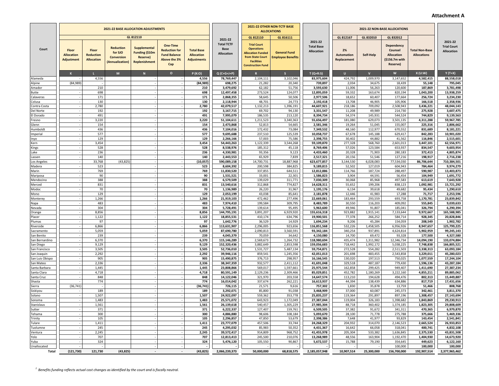## **Attachment A**

|                            | 2021-22 BASE ALLOCATION ADJUSTMENTS             |                                                |                                                                     |                                                                    |                                                                                       |                                                              |                                  |                                                                                                                    | 2021-22 OTHER NON-TCTF BASE<br><b>ALLOCATIONS</b> |                                        | 2021-22 NON-BASE ALLOCATIONS                  |                        |                                                                                 |                                             |                                         |
|----------------------------|-------------------------------------------------|------------------------------------------------|---------------------------------------------------------------------|--------------------------------------------------------------------|---------------------------------------------------------------------------------------|--------------------------------------------------------------|----------------------------------|--------------------------------------------------------------------------------------------------------------------|---------------------------------------------------|----------------------------------------|-----------------------------------------------|------------------------|---------------------------------------------------------------------------------|---------------------------------------------|-----------------------------------------|
|                            |                                                 |                                                |                                                                     | GL 812110                                                          |                                                                                       |                                                              | 2021-22<br><b>Total TCTF</b>     | GL 812110<br><b>Trial Court</b>                                                                                    | GL 816111                                         | 2021-22                                | GL 812167                                     | GL 832010<br>GL 832012 |                                                                                 |                                             | 2021-22                                 |
| Court                      | Floor<br><b>Allocation</b><br><b>Adjustment</b> | Floor<br><b>Reduction</b><br><b>Allocation</b> | <b>Reduction</b><br>for SJO<br><b>Conversion</b><br>(Annualization) | Supplemental<br>Funding (\$10m<br>Reserve)<br><b>Replenishment</b> | <b>One-Time</b><br><b>Reduction for</b><br><b>Fund Balance</b><br>Above the 3%<br>Cap | <b>Total Base</b><br><b>Allocation</b><br><b>Adjustments</b> | <b>Base</b><br><b>Allocation</b> | <b>Operations</b><br><b>Allocation Funded</b><br>from State Court<br><b>Facilities</b><br><b>Construction Fund</b> | <b>General Fund</b><br><b>Employee Benefits</b>   | <b>Total Base</b><br><b>Allocation</b> | 2%<br><b>Automation</b><br><b>Replacement</b> | Self-Help              | <b>Dependency</b><br>Counsel<br><b>Allocation</b><br>(\$156.7m with<br>Reserve) | <b>Total Non-Base</b><br><b>Allocations</b> | <b>Trial Court</b><br><b>Allocation</b> |
|                            | $\mathbf{K}$                                    |                                                | M                                                                   | N                                                                  | $\circ$                                                                               | P(K:O)                                                       | $Q(C+G+J+P)$                     | $\mathbf R$                                                                                                        | $\mathsf{s}$                                      | $T(Q+R:S)$                             | $\mathbf{U}$                                  | $\mathbf{v}$           | $\mathsf{w}$                                                                    | X(U:W)                                      | $Y(T+X)$                                |
| Alameda                    |                                                 | 4,556                                          |                                                                     |                                                                    |                                                                                       | 4,556                                                        | 78,769,447                       | 2,104,111                                                                                                          | 3,102,046                                         | 83,975,604                             | 424,792                                       | 1,009,970              | 3,147,652                                                                       | 4,582,415                                   | 88,558,018                              |
| Alpine                     | (84,989)                                        |                                                |                                                                     |                                                                    |                                                                                       | (84,989)                                                     | 698,275                          | 21,282                                                                                                             | 20,340                                            | 739,897                                | 2,034                                         | 34,675                 | 18,439                                                                          | 55,148                                      | 795,045                                 |
| Amador<br>Butte            |                                                 | 210<br>698                                     |                                                                     |                                                                    |                                                                                       | 210<br>698                                                   | 3,479,692<br>12,497,458          | 62,182<br>273,524                                                                                                  | 51,756<br>124,077                                 | 3,593,630<br>12,895,059                | 11,006<br>59,332                              | 56,263<br>163,674      | 120,600<br>820,194                                                              | 187,869<br>1,043,200                        | 3,781,498<br>13,938,259                 |
| Calaveras                  |                                                 | 171                                            |                                                                     |                                                                    |                                                                                       | 171                                                          | 2,868,355                        | 58,645                                                                                                             | 50,506                                            | 2,977,506                              | 18,652                                        | 60,407                 | 177,664                                                                         | 256,724                                     | 3,234,230                               |
| Colusa                     |                                                 | 130                                            |                                                                     |                                                                    |                                                                                       | 130                                                          | 2,118,944                        | 48,701                                                                                                             | 24,773                                            | 2,192,418                              | 13,708                                        | 46,905                 | 105,906                                                                         | 166,518                                     | 2,358,936                               |
| Contra Costa               |                                                 | 2,780                                          |                                                                     |                                                                    |                                                                                       | 2,780                                                        | 42,079,517                       | 1,132,213                                                                                                          | 1,396,191                                         | 44,607,921                             | 218,186                                       | 709,092                | 2,508,943                                                                       | 3,436,221                                   | 48,044,143                              |
| Del Norte<br>El Dorado     |                                                 | 192<br>491                                     |                                                                     |                                                                    |                                                                                       | 192<br>491                                                   | 3,167,715<br>7,995,079           | 69,702<br>186,535                                                                                                  | 94,130<br>213,120                                 | 3,331,547<br>8,394,734                 | 11,208<br>54,374                              | 49,989<br>145,931      | 214,730<br>544,524                                                              | 275,928<br>744,829                          | 3,607,475<br>9,139,563                  |
| resno                      |                                                 | 3,220                                          |                                                                     |                                                                    |                                                                                       | 3,220                                                        | 51,104,611                       | 1,211,523                                                                                                          | 3,340,363                                         | 55,656,497                             | 181,080                                       | 629,073                | 3,501,135                                                                       | 4,311,288                                   | 59,967,785                              |
| Glenn                      |                                                 | 154                                            |                                                                     |                                                                    |                                                                                       | 154                                                          | 2,473,868                        | 52,813                                                                                                             | 54,665                                            | 2,581,346                              | 19,264                                        | 51,045                 | 155,007                                                                         | 225,316                                     | 2,806,662                               |
| Humboldt                   |                                                 | 436                                            |                                                                     |                                                                    |                                                                                       | 436                                                          | 7,104,016                        | 172,432                                                                                                            | 73,084                                            | 7,349,532                              | 48,160                                        | 112,977                | 670,552                                                                         | 831,689                                     | 8,181,221                               |
| Imperial                   |                                                 | 577                                            |                                                                     |                                                                    |                                                                                       | 577                                                          | 9,695,688                        | 237,510                                                                                                            | 125,539                                           | 10,058,737                             | 67,678                                        | 145,188                | 629,417                                                                         | 842,283                                     | 10,901,020                              |
| nyo<br>Kern                |                                                 | 129<br>3,454                                   |                                                                     |                                                                    |                                                                                       | 129<br>3,454                                                 | 2,266,166<br>54,443,263          | 57,003<br>1,122,339                                                                                                | 75,586<br>3,544,268                               | 2,398,755<br>59,109,870                | 30,402<br>277,328                             | 44,882<br>568,760      | 41,562<br>2,601,013                                                             | 116,846<br>3,447,101                        | 2,515,601<br>62,556,971                 |
| <b>Kings</b>               |                                                 | 528                                            |                                                                     |                                                                    |                                                                                       | 528                                                          | 8,538,976                        | 185,312                                                                                                            | 45,118                                            | 8,769,406                              | 57,026                                        | 123,584                | 653,937                                                                         | 834,547                                     | 9,603,954                               |
| Lake                       |                                                 | 236                                            |                                                                     |                                                                    |                                                                                       | 236                                                          | 4,330,981                        | 93,356                                                                                                             | 9,123                                             | 4,433,460                              | 20,328                                        | 71,903                 | 280,183                                                                         | 372,413                                     | 4,805,874                               |
| assen                      |                                                 | 140                                            |                                                                     |                                                                    |                                                                                       | 140                                                          | 2,443,553                        | 65,929                                                                                                             | 7,839                                             | 2,517,321                              | 20,156                                        | 51,546                 | 127,216                                                                         | 198,917                                     | 2,716,238                               |
| os Angeles                 |                                                 | 33,768                                         | (43, 825)                                                           |                                                                    |                                                                                       | (10, 057)                                                    | 590,089,158                      | 14,700,731                                                                                                         | 18,887,968                                        | 623,677,857                            | 3,144,530                                     | 6,028,083              | 77,534,030                                                                      | 86,706,644                                  | 710,384,501                             |
| Madera                     |                                                 | 523<br>769                                     |                                                                     |                                                                    |                                                                                       | 523<br>769                                                   | 8,604,392<br>11,830,520          | 200,598<br>337,855                                                                                                 | 384,825<br>644,511                                | 9,189,815<br>12,812,886                | 52,502<br>114,766                             | 127,019<br>187,724     | 604,943<br>288,497                                                              | 784,464<br>590,987                          | 9,974,279<br>13,403,873                 |
| Marin<br>Mariposa          |                                                 | 90                                             |                                                                     |                                                                    |                                                                                       | 90                                                           | 1,531,521                        | 33,001                                                                                                             | 22,301                                            | 1,586,823                              | 3,904                                         | 44,591                 | 56,454                                                                          | 104,949                                     | 1,691,772                               |
| Mendocino                  |                                                 | 388                                            |                                                                     |                                                                    |                                                                                       | 388                                                          | 6,579,509                        | 139,029                                                                                                            | 311,771                                           | 7,030,309                              | 30,068                                        | 85,968                 | 497,583                                                                         | 613,619                                     | 7,643,928                               |
| Merced                     |                                                 | 831                                            |                                                                     |                                                                    |                                                                                       | 831                                                          | 13,540,616                       | 312,868                                                                                                            | 774,827                                           | 14,628,311                             | 55,652                                        | 199,206                | 838,123                                                                         | 1,092,981                                   | 15,721,292                              |
| Modoc                      |                                                 | 70                                             |                                                                     |                                                                    |                                                                                       | 70                                                           | 1,136,989                        | 26,220                                                                                                             | 31,967                                            | 1,195,176                              | 6,134                                         | 39,618                 | 49,682                                                                          | 95,434                                      | 1,290,610                               |
| Mono                       |                                                 | 129                                            |                                                                     |                                                                    |                                                                                       | 129                                                          | 2,053,199                        | 43,038                                                                                                             | 85,641                                            | 2,181,878                              | 12,446                                        | 41,983                 | 17,288                                                                          | 71,717                                      | 2,253,596                               |
| Monterey                   |                                                 | 1,266<br>483                                   |                                                                     |                                                                    |                                                                                       | 1,266<br>483                                                 | 21,919,103                       | 472,462<br>199,584                                                                                                 | 277,496<br>309,795                                | 22,669,061                             | 183,464<br>30,550                             | 293,559<br>116,203     | 693,758<br>409,092                                                              | 1,170,781                                   | 23,839,842<br>9,039,633                 |
| Napa<br>Nevada             |                                                 | 304                                            |                                                                     |                                                                    |                                                                                       | 304                                                          | 7,974,410<br>5,728,491           | 139,614                                                                                                            | 95,495                                            | 8,483,789<br>5,963,600                 | 49,946                                        | 91,807                 | 185,041                                                                         | 555,845<br>326,794                          | 6,290,394                               |
| Orange                     |                                                 | 8,856                                          |                                                                     |                                                                    |                                                                                       | 8,856                                                        | 144,795,191                      | 3,891,207                                                                                                          | 6,929,920                                         | 155,616,318                            | 923,882                                       | 1,915,141              | 7,133,644                                                                       | 9,972,667                                   | 165,588,985                             |
| Placer                     |                                                 | 1,122                                          |                                                                     |                                                                    |                                                                                       | 1,122                                                        | 18,855,531                       | 410,174                                                                                                            | 634,796                                           | 19,900,501                             | 77,378                                        | 266,252                | 584,714                                                                         | 928,345                                     | 20,828,846                              |
| Plumas                     |                                                 | 97                                             |                                                                     |                                                                    |                                                                                       | 97                                                           | 1,642,776                        | 36,529                                                                                                             | 14,929                                            | 1,694,234                              | 9,206                                         | 45,284                 | 154.059                                                                         | 208,549                                     | 1,902,782                               |
| Riverside                  |                                                 | 6,866                                          |                                                                     |                                                                    |                                                                                       | 6,866                                                        | 113,631,907                      | 2,296,005                                                                                                          | 923,656                                           | 116,851,568                            | 532,226                                       | 1,458,505              | 6,956,926                                                                       | 8,947,657                                   | 125,799,225                             |
| Sacramento<br>San Benito   |                                                 | 5,059<br>239                                   |                                                                     |                                                                    |                                                                                       | 5,059<br>239                                                 | 87,690,780<br>4,045,379          | 2,090,813<br>70,059                                                                                                | 3,560,591<br>34,642                               | 93,342,184<br>4,150,080                | 340,254<br>14,700                             | 937,891<br>69,472      | 4,624,814<br>93,328                                                             | 5,902,959<br>177,500                        | 99,245,143<br>4,327,580                 |
| San Bernardino             |                                                 | 6,370                                          |                                                                     |                                                                    |                                                                                       | 6,370                                                        | 115,146,289                      | 2,569,673                                                                                                          | 1,264,732                                         | 118,980,694                            | 435,474                                       | 1,311,982              | 12,346,734                                                                      | 14,094,190                                  | 133,074,884                             |
| San Diego                  |                                                 | 9,129                                          |                                                                     |                                                                    |                                                                                       | 9,129                                                        | 152,320,436                      | 3,882,649                                                                                                          | 2,853,598                                         | 159,056,683                            | 718,442                                       | 1,992,172              | 5,038,225                                                                       | 7,748,838                                   | 166,805,521                             |
| San Francisco              |                                                 | 3,505                                          |                                                                     |                                                                    |                                                                                       | 3,505                                                        | 52,736,010                       | 1,531,727                                                                                                          | 5,487,134                                         | 59,754,871                             | 272,528                                       | 554,282                | 2,511,503                                                                       | 3,338,313                                   | 63,093,184                              |
| San Joaquin                |                                                 | 2,292                                          |                                                                     |                                                                    |                                                                                       | 2,292                                                        | 39,946,116                       | 859,541                                                                                                            | 1,245,356                                         | 42,051,013                             | 201,698                                       | 483,455                | 2,543,858                                                                       | 3,229,011                                   | 45,280,023                              |
| San Luis Obispo            |                                                 | 905                                            |                                                                     |                                                                    |                                                                                       | 905                                                          | 15,490,875                       | 376,713                                                                                                            | 298,957                                           | 16,166,545                             | 130,020                                       | 197,513                | 750,025                                                                         | 1,077,559                                   | 17,244,104                              |
| San Mateo<br>Santa Barbara |                                                 | 2,336<br>1,445                                 |                                                                     |                                                                    |                                                                                       | 2,336<br>1,445                                               | 38,347,359<br>23.808.866         | 932,577<br>569,017                                                                                                 | 2,411,112<br>1,597,661                            | 41,691,048<br>25,975,544               | 329,518<br>162,858                            | 487,187<br>299,425     | 779,430<br>949,407                                                              | 1,596,136<br>1,411,690                      | 43,287,184<br>27,387,234                |
| Santa Clara                |                                                 | 4,718                                          |                                                                     |                                                                    |                                                                                       | 4,718                                                        | 80,591,149                       | 2,129,236                                                                                                          | 2,309,466                                         | 85,029,851                             | 452,782                                       | 1,180,269              | 3,222,160                                                                       | 4,855,211                                   | 89,885,062                              |
| Santa Cruz                 |                                                 | 848                                            |                                                                     |                                                                    |                                                                                       | 848                                                          | 14,122,046                       | 321,970                                                                                                            | 203,558                                           | 14,647,574                             | 113,210                                       | 194,628                | 494,476                                                                         | 802,313                                     | 15,449,887                              |
| Shasta                     |                                                 | 774                                            |                                                                     |                                                                    |                                                                                       | 774                                                          | 16,014,042                       | 337,674                                                                                                            | 262,221                                           | 16,613,937                             | 44,394                                        | 138,439                | 634,886                                                                         | 817,719                                     | 17,431,656                              |
| Sierra                     | (36, 741)                                       |                                                |                                                                     |                                                                    |                                                                                       | (36, 741)                                                    | 726,115                          | 21,571                                                                                                             | 9,616                                             | 757,302                                | 1,830                                         | 35,878                 | 13,759                                                                          | 51,466                                      | 808,768                                 |
| Siskiyou                   |                                                 | 189<br>1,507                                   |                                                                     |                                                                    |                                                                                       | 189<br>1,507                                                 | 3,292,071<br>24,922,097          | 85,800                                                                                                             | 91,038<br>353,778                                 | 3,468,909                              | 37,000<br>119,364                             | 60,087                 | 245,373                                                                         | 342,461                                     | 3,811,370<br>27,143,694                 |
| Solano<br>Sonoma           |                                                 | 1,483                                          |                                                                     |                                                                    |                                                                                       | 1,483                                                        | 25,571,072                       | 559,362<br>643,923                                                                                                 | 1,172,049                                         | 25,835,237<br>27,387,044               | 119,004                                       | 291,897<br>326,183     | 897,196<br>1,398,682                                                            | 1,308,457<br>1,843,869                      | 29,230,913                              |
| Stanislaus                 |                                                 | 1,561                                          |                                                                     |                                                                    |                                                                                       | 1,561                                                        | 26.139.618                       | 540,457                                                                                                            | 1,305,229                                         | 27,985,304                             | 88,718                                        | 360,402                | 1,374,185                                                                       | 1,823,305                                   | 29,808,609                              |
| Sutter                     |                                                 | 371                                            |                                                                     |                                                                    |                                                                                       | 371                                                          | 6,222,337                        | 127,407                                                                                                            | 159,761                                           | 6,509,505                              | 37,382                                        | 91,672                 | 341,311                                                                         | 470,365                                     | 6,979,870                               |
| Tehama                     |                                                 | 300                                            |                                                                     |                                                                    |                                                                                       | 300                                                          | 4,886,880                        | 98,606                                                                                                             | 108,184                                           | 5,093,670                              | 28,100                                        | 71,778                 | 275,788                                                                         | 375,666                                     | 5,469,336                               |
| Trinity                    |                                                 | 105                                            |                                                                     |                                                                    |                                                                                       | 105                                                          | 2,296,857                        | 47,850                                                                                                             | 53,679                                            | 2,398,386                              | 7,648                                         | 41,977                 | 93,829                                                                          | 143,454                                     | 2,541,841                               |
| Tulare                     |                                                 | 1,411<br>245                                   |                                                                     |                                                                    |                                                                                       | 1,411<br>245                                                 | 23,777,079                       | 457,506<br>85,983                                                                                                  | 33,744<br>50,352                                  | 24,268,329                             | 204,932                                       | 314,070                | 2,146,523                                                                       | 2,665,524                                   | 26,933,853<br>4,832,108                 |
| Tuolumne<br>Ventura        |                                                 | 2,245                                          |                                                                     |                                                                    |                                                                                       | 2,245                                                        | 4,295,032<br>39,572,417          | 914,809                                                                                                            | 968,752                                           | 4,431,367<br>41,455,978                | 16,642<br>205,304                             | 66,058<br>533,382      | 318,041<br>1,636,845                                                            | 400,741<br>2,375,530                        | 43,831,508                              |
| Yolo                       |                                                 | 707                                            |                                                                     |                                                                    |                                                                                       | 707                                                          | 12,813,413                       | 245,500                                                                                                            | 210,076                                           | 13,268,989                             | 48,556                                        | 163,904                | 1,192,470                                                                       | 1,404,930                                   | 14,673,920                              |
| Yuba                       |                                                 | 324                                            |                                                                     |                                                                    |                                                                                       | 324                                                          | 5,476,120                        | 105,550                                                                                                            | 90,867                                            | 5,672,537                              | 15,788                                        | 79,190                 | 354,645                                                                         | 449,623                                     | 6,122,160                               |
| Unallocated                |                                                 |                                                |                                                                     |                                                                    |                                                                                       |                                                              |                                  |                                                                                                                    |                                                   |                                        |                                               |                        | 100,000                                                                         | 100,000                                     | 100,000                                 |
| Total                      | (121, 730)                                      | 121,730                                        | (43, 825)                                                           |                                                                    |                                                                                       | (43, 825)                                                    | 2,066,239,373                    | 50,000,000                                                                                                         | 68,818,575                                        | 2,185,057,948                          | 10,907,514                                    | 25,300,000             | 156,700,000                                                                     | 192,907,514                                 | 2,377,965,462                           |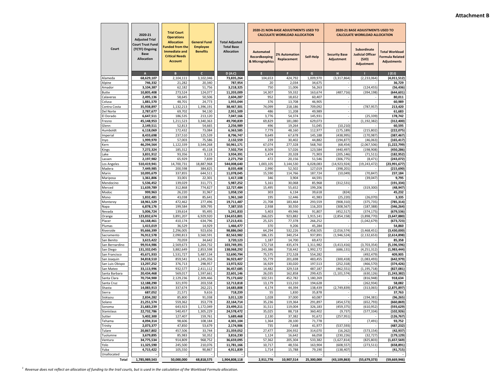|                              | 2020-21<br><b>Adjusted Trial</b>                                       | <b>Trial Court</b><br><b>Operations</b><br><b>Allocation</b>                              | <b>General Fund</b>                | <b>Total Adjusted</b>                  | 2020-21 NON-BASE ADJUSTMENTS USED TO<br>2020-21 BASE ADJUSTMENTS USED TO<br><b>CALCULATE WORKLOAD ALLOCATION</b><br><b>CALCULATE WORKLOAD ALLOCATION</b> |                                     |                           |                                    |                                                               |                                                                       |
|------------------------------|------------------------------------------------------------------------|-------------------------------------------------------------------------------------------|------------------------------------|----------------------------------------|----------------------------------------------------------------------------------------------------------------------------------------------------------|-------------------------------------|---------------------------|------------------------------------|---------------------------------------------------------------|-----------------------------------------------------------------------|
| Court                        | <b>Court Trust Fund</b><br>(TCTF) Ongoing<br><b>Base</b><br>Allocation | <b>Funded from the</b><br><b>Immediate and</b><br><b>Critical Needs</b><br><b>Account</b> | <b>Employee</b><br><b>Benefits</b> | <b>Total Base</b><br><b>Allocation</b> | <b>Automated</b><br>Recordkeeping<br>& Micrographics                                                                                                     | <b>2% Automation</b><br>Replacement | Self-Help                 | <b>Security Base</b><br>Adjustment | Subordinate<br><b>Judicial Officer</b><br>(SJO)<br>Adjustment | <b>Total Workload</b><br><b>Formula Related</b><br><b>Adjustments</b> |
| Alameda                      | A<br>68,629,107                                                        | $\overline{B}$<br>2,104,111                                                               | $\mathsf{C}$<br>3,102,046          | D(A:C)<br>73,835,264                   | F<br>104,653                                                                                                                                             | F<br>424,792                        | $\mathsf{G}$<br>1,009,970 | H<br>(3, 317, 864)                 | (2, 233, 064)                                                 | J(E:1)<br>(4,011,512)                                                 |
| Alpine                       | 746,332                                                                | 21,282                                                                                    | 20,340                             | 787,954                                | 20                                                                                                                                                       | 2,034                               | 34,675                    |                                    |                                                               | 36,729                                                                |
| Amador                       | 3,104,387                                                              | 62,182                                                                                    | 51,756                             | 3,218,325                              | 750                                                                                                                                                      | 11,006                              | 56,263                    |                                    | (124, 455)                                                    | (56, 436)                                                             |
| <b>Butte</b>                 | 10,805,408                                                             | 273,524                                                                                   | 124,077                            | 11,203,009                             | 14,307                                                                                                                                                   | 59,332                              | 163,674                   | (487, 716)                         | (394, 198)                                                    | (644.601)                                                             |
| Calaveras                    | 2,495,136                                                              | 58,645<br>48,701                                                                          | 50,506<br>24,773                   | 2,604,287                              | 952<br>376                                                                                                                                               | 18,652                              | 60,407                    |                                    |                                                               | 80,011                                                                |
| Colusa<br>Contra Costa       | 1,881,570<br>35,938,897                                                | 1,132,213                                                                                 | 1,396,191                          | 1,955,044<br>38,467,301                | 74,099                                                                                                                                                   | 13,708<br>218,186                   | 46,905<br>709,092         | ÷,                                 | (787, 957)                                                    | 60,989<br>213,420                                                     |
| Del Norte                    | 2,787,677                                                              | 69,702                                                                                    | 94,130                             | 2,951,509                              | 486                                                                                                                                                      | 11,208                              | 49,989                    |                                    |                                                               | 61,683                                                                |
| El Dorado                    | 6,647,511                                                              | 186,535                                                                                   | 213,120                            | 7,047,166                              | 3,776                                                                                                                                                    | 54,374                              | 145,931                   |                                    | (25, 339)                                                     | 178,742                                                               |
| Fresno                       | 45,148,953                                                             | 1,211,523                                                                                 | 3,340,363                          | 49,700,839                             | 69,829                                                                                                                                                   | 181,080                             | 629,073                   |                                    | (1, 192, 382)                                                 | (312, 400)                                                            |
| Glenn                        | 2,149,511                                                              | 52,813                                                                                    | 54,665                             | 2,256,989                              | 496                                                                                                                                                      | 19,264                              | 51,045                    | (10, 210)                          |                                                               | 60,595                                                                |
| Humboldt<br>Imperial         | 6,118,069<br>8,433,698                                                 | 172,432<br>237,510                                                                        | 73,084<br>125,539                  | 6,363,585<br>8,796,747                 | 7,779<br>9,649                                                                                                                                           | 48,160<br>67,678                    | 112,977<br>145,188        | (175, 189)<br>(438,995)            | (215, 802)<br>(170, 987)                                      | (222, 075)<br>(387, 467)                                              |
| Inyo                         | 1,999,970                                                              | 57,003                                                                                    | 75,586                             | 2,132,559                              | 239                                                                                                                                                      | 30,402                              | 44,882                    | (194, 877)                         | (46, 063)                                                     | (165, 417)                                                            |
| Kern                         | 46,294,564                                                             | 1,122,339                                                                                 | 3,544,268                          | 50,961,171                             | 67,074                                                                                                                                                   | 277,328                             | 568,760                   | (68, 454)                          | (2,067,506)                                                   | (1,222,799)                                                           |
| Kings                        | 7,272,324                                                              | 185,312                                                                                   | 45,118                             | 7,502,754                              | 8,509                                                                                                                                                    | 57,026                              | 123,584                   | (440,497                           | (198, 908)                                                    | (450.286)                                                             |
| Lake                         | 3,831,912                                                              | 93,356                                                                                    | 9,123                              | 3,934,391                              | 1,474                                                                                                                                                    | 20,328                              | 71,903                    | (205, 146)                         | (71, 511)                                                     | (182, 952)                                                            |
| assen<br>Los Angeles         | 2,197,982                                                              | 65,929                                                                                    | 7,839                              | 2,271,750<br>544,008,640               | 472<br>1.003.105                                                                                                                                         | 20,156<br>3,144,530                 | 51,546<br>6,028,083       | (306,775)<br>(14,923,924)          | (8, 471)                                                      | (243, 072)                                                            |
| Madera                       | 510,419,941<br>7,449,985                                               | 14,700,731<br>200,598                                                                     | 18,887,968<br>384,825              | 8,035,408                              | 2,990                                                                                                                                                    | 52,502                              | 127,019                   | (398, 201)                         | (19, 243, 472)                                                | (23,991,677)<br>(215, 690)                                            |
| Marin                        | 10,095,679                                                             | 337,855                                                                                   | 644,511                            | 11,078,045                             | 15,590                                                                                                                                                   | 114,766                             | 187,724                   | (10, 049)                          | (70, 847)                                                     | 237,184                                                               |
| Mariposa                     | 1,361,806                                                              | 33,001                                                                                    | 22,301                             | 1,417,108                              | 346                                                                                                                                                      | 3,904                               | 44,591                    |                                    | (39,047)                                                      | 9,795                                                                 |
| Mendocino                    | 5,536,452                                                              | 139,029                                                                                   | 311,771                            | 5,987,252                              | 5,161                                                                                                                                                    | 30,068                              | 85,968                    | (312, 531)                         |                                                               | (191, 334)                                                            |
| Merced                       | 11,639,789                                                             | 312,868                                                                                   | 774,827                            | 12,727,484                             | 15,495                                                                                                                                                   | 55,652                              | 199,206                   |                                    | (319, 300)                                                    | (48, 947)                                                             |
| Modoc                        | 999,963<br>1,832,481                                                   | 26,220<br>43,038                                                                          | 31,967<br>85,641                   | 1,058,150<br>1,961,160                 | 303<br>195                                                                                                                                               | 6,134<br>12,446                     | 39,618<br>41,983          | (824)<br>(25, 220)                 | (26,070)                                                      | 45,232<br>3,335                                                       |
| Mono<br>Monterey             | 18,961,529                                                             | 472,462                                                                                   | 277,496                            | 19,711,487                             | 21,708                                                                                                                                                   | 183,464                             | 293,559                   | (908, 310)                         | (375, 735)                                                    | (785, 314)                                                            |
| Napa                         | 6,878,176                                                              | 199,584                                                                                   | 309,795                            | 7,387,555                              | 2,938                                                                                                                                                    | 30,550                              | 116,203                   | (308, 567)                         | (187, 388)                                                    | (346, 264)                                                            |
| Nevada                       | 5,006,724                                                              | 139,614                                                                                   | 95,495                             | 5,241,833                              | 5,403                                                                                                                                                    | 49,946                              | 91,807                    | (452, 517)                         | (374, 175)                                                    | (679, 536)                                                            |
| Orange                       | 123,832,674                                                            | 3,891,207                                                                                 | 6,929,920                          | 134,653,801                            | 266,025                                                                                                                                                  | 923,882                             | 1,915,141                 | (2,854,158)                        | (3,898,770)                                                   | (3,647,880)                                                           |
| Placer                       | 16,168,461                                                             | 410,174                                                                                   | 634,796                            | 17,213,431                             | 25,325                                                                                                                                                   | 77,378                              | 266,252                   |                                    | (1,042,679)                                                   | (673, 723)                                                            |
| Plumas<br>Riverside          | 1,415,019<br>95,666,399                                                | 36,529<br>2,296,005                                                                       | 14,929<br>923,656                  | 1,466,477<br>98,886,060                | 370<br>64,294                                                                                                                                            | 9,206<br>532,226                    | 45,284<br>1,458,505       | (2,016,574)                        | (3, 468, 451)                                                 | 54,860<br>(3,430,000)                                                 |
| Sacramento                   | 76,912,578                                                             | 2,090,813                                                                                 | 3,560,591                          | 82,563,982                             | 186,135                                                                                                                                                  | 340,254                             | 937,891                   | (1,946,524)                        | (2, 132, 653)                                                 | (2,614,898)                                                           |
| San Benito                   | 3,615,422                                                              | 70,059                                                                                    | 34,642                             | 3,720,123                              | 1,187                                                                                                                                                    | 14,700                              | 69,472                    |                                    |                                                               | 85,358                                                                |
| San Bernardino               | 99,914,986                                                             | 2,569,673                                                                                 | 1,264,732                          | 103,749,391                            | 172,718                                                                                                                                                  | 435,474                             | 1,311,982                 | (3, 413, 416)                      | (3,703,354)                                                   | (5, 196, 596)                                                         |
| San Diego                    | 131,332,045                                                            | 3,882,649                                                                                 | 2,853,598                          | 138,068,292                            | 243,386                                                                                                                                                  | 718,442                             | 1,992,172                 | (686, 131)                         | (4, 251, 312)                                                 | (1,983,444)                                                           |
| San Francisco                | 45,671,933                                                             | 1,531,727                                                                                 | 5,487,134                          | 52,690,794                             | 75,575                                                                                                                                                   | 272,528                             | 554,282                   |                                    | (492, 479)                                                    | 409,905                                                               |
| San Joaquin                  | 34,818,510<br>13,297,252                                               | 859,541                                                                                   | 1,245,356<br>298,957               | 36,923,407<br>13,972,922               | 55,779<br>16,929                                                                                                                                         | 201,698<br>130,020                  | 483,455<br>197,513        | (300, 418)<br>(252, 318)           | (1,083,493)                                                   | (642, 979)<br>(374, 426)                                              |
| San Luis Obispo<br>San Mateo | 33,113,996                                                             | 376,713<br>932,577                                                                        | 2,411,112                          | 36,457,685                             | 14,482                                                                                                                                                   | 329,518                             | 487,187                   | (462, 551)                         | (466, 570)<br>(1, 195, 718)                                   | (827.081)                                                             |
| Santa Barbara                | 20,434,468                                                             | 569,017                                                                                   | 1,597,661                          | 22,601,146                             | 26,035                                                                                                                                                   | 162,858                             | 299,425                   | (1, 101, 574)                      | (630, 126)                                                    | (1, 243, 382)                                                         |
| Santa Clara                  | 70,734,900                                                             | 2,129,236                                                                                 | 2,309,466                          | 75,173,602                             | 102,531                                                                                                                                                  | 452,782                             | 1,180,269                 |                                    | (816, 948)                                                    | 918,634                                                               |
| Santa Cruz                   | 12,188,290                                                             | 321,970                                                                                   | 203,558                            | 12,713,818                             | 13,179                                                                                                                                                   | 113,210                             | 194,628                   |                                    | (262, 934)                                                    | 58,082                                                                |
| Shasta                       | 14,083,913                                                             | 337,674                                                                                   | 262,221                            | 14,683,808                             | 4,174                                                                                                                                                    | 44,394                              | 138,439                   | (2,749,839)                        | (313,065)                                                     | (2,875,897)                                                           |
| Sierra<br>Siskiyou           | 687,052<br>2,834,282                                                   | 21,571<br>85,800                                                                          | 9,616<br>91,038                    | 718,239<br>3,011,120                   | 55<br>1,028                                                                                                                                              | 1,830<br>37,000                     | 35,878<br>60,087          |                                    | (194, 381)                                                    | 37,763<br>(96, 265)                                                   |
| Solano                       | 21,251,574                                                             | 559,362                                                                                   | 353,778                            | 22,164,714                             | 35,236                                                                                                                                                   | 119,364                             | 291,897                   | (454, 573)                         | (652, 793)                                                    | (660, 869)                                                            |
| Sonoma                       | 21,683,239                                                             | 643,923                                                                                   | 1,172,049                          | 23,499,211                             | 31,511                                                                                                                                                   | 119,004                             | 326,183                   | (459,375)                          | (610, 952)                                                    | (593,629)                                                             |
| Stanislaus                   | 22,732,786                                                             | 540,457                                                                                   | 1,305,229                          | 24,578,472                             | 35,025                                                                                                                                                   | 88,718                              | 360,402                   | (9, 737)                           | (577, 334)                                                    | (102, 926)                                                            |
| Sutter                       | 5,402,300                                                              | 127,407                                                                                   | 159,761                            | 5,689,468                              | 2,130                                                                                                                                                    | 37,382                              | 91,672                    | (257, 951)                         |                                                               | (126, 767)                                                            |
| Tehama                       | 4,094,314                                                              | 98,606                                                                                    | 108,184                            | 4,301,104                              | 1,364                                                                                                                                                    | 28,100                              | 71,778                    |                                    | (7, 491)                                                      | 93,752                                                                |
| Trinity<br>Tulare            | 2,073,377<br>20,867,802                                                | 47,850<br>457,506                                                                         | 53,679<br>33,744                   | 2,174,906<br>21,359,052                | 735<br>27,477                                                                                                                                            | 7,648<br>204,932                    | 41,977<br>314,070         | (537, 593)<br>(16, 262)            | (573, 154)                                                    | (487, 232)<br>(42, 937)                                               |
| Tuolumne                     | 3,679,895                                                              | 85,983                                                                                    | 50,352                             | 3,816,230                              | 1,124                                                                                                                                                    | 16,642                              | 66,058                    | (230, 226)                         | (32, 727)                                                     | (179, 129)                                                            |
| Ventura                      | 34,775,534                                                             | 914,809                                                                                   | 968,752                            | 36,659,095                             | 57,362                                                                                                                                                   | 205,304                             | 533,382                   | (1,627,814)                        | (825, 803)                                                    | (1,657,569)                                                           |
| Yolo                         | 11,325,590                                                             | 245,500                                                                                   | 210,076                            | 11,781,166                             | 10,717                                                                                                                                                   | 48,556                              | 163,904                   | (608, 557)                         | (273, 511)                                                    | (658, 891)                                                            |
| Yuba                         | 4,715,422                                                              | 105,550                                                                                   | 90,867                             | 4,911,839                              | 1,714                                                                                                                                                    | 15,788                              | 79,190                    | (138, 407)                         |                                                               | (41, 715)                                                             |
| Unallocated                  |                                                                        |                                                                                           |                                    |                                        |                                                                                                                                                          |                                     |                           |                                    | $\overline{\phantom{a}}$                                      |                                                                       |
| Total                        | 1,785,989,543                                                          | 50,000,000                                                                                | 68,818,575                         | 1,904,808,118                          | 2,911,776                                                                                                                                                | 10,907,514                          | 25,300,000                | (43, 109, 863)                     | (55, 679, 373)                                                | (59,669,946)                                                          |

## **Attachment B**

*1 Revenue does not reflect an allocation of funding to the trail courts, but is used in the calculation of the Workload Formula allocation.*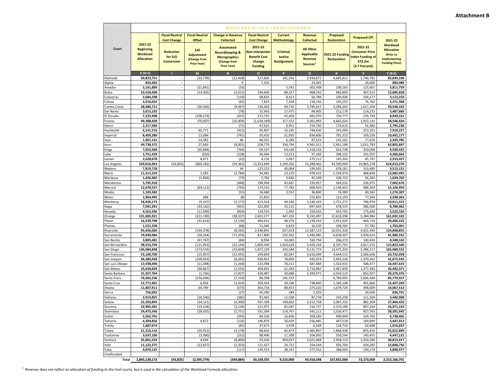| <b>Attachment B</b> |  |  |
|---------------------|--|--|
|---------------------|--|--|

|                              | <b>WORKLOAD ALLOCATION ADJUSTMENTS</b> |                                                |                        |                                                    |                            |                    |                       |                        |                                  |                                              |  |
|------------------------------|----------------------------------------|------------------------------------------------|------------------------|----------------------------------------------------|----------------------------|--------------------|-----------------------|------------------------|----------------------------------|----------------------------------------------|--|
|                              |                                        | <b>Fiscal Neutral</b><br><b>Fiscal Neutral</b> |                        | <b>Change in Revenue</b>                           | <b>Fiscal Neutral</b>      | <b>Current</b>     | <b>Revenue</b>        | Proposed               | <b>Proposed CPI</b>              |                                              |  |
|                              | 2021-22                                | <b>Cost Change</b>                             | <b>Offset</b>          | <b>Collected</b>                                   | <b>Cost Change</b>         | <b>Methodology</b> | <b>Collected</b>      | <b>Restoration</b>     |                                  | 2021-22<br><b>Workload</b>                   |  |
| Court                        | <b>Beginning</b>                       | <b>Reduction</b>                               | <b>SJO</b>             | <b>Automated</b>                                   | 2021-22<br>Non-Interpreter | <b>Criminal</b>    | <b>All Other</b>      |                        | 2021-22<br><b>Consumer Price</b> | <b>Allocation</b>                            |  |
|                              | <b>Workload</b>                        | for SJO                                        | <b>Adjustment</b>      | <b>Recordkeeping &amp;</b><br><b>Micrographics</b> | <b>Benefit Cost</b>        | Justice            | <b>Applicable</b>     | 2021-22 Funding        | <b>Index Funding of</b>          | (Prior to                                    |  |
|                              | <b>Allocation</b>                      | <b>Conversion</b>                              | (Change from           | (Change from                                       | Change                     | Realignment        | Revenue               | <b>Restoration</b>     | \$72.2m                          | <b>Implementing</b><br><b>Funding Floor)</b> |  |
|                              |                                        |                                                | <b>Prior Year)</b>     | <b>Prior Year)</b>                                 | <b>Funding</b>             |                    | Sources <sup>1</sup>  |                        | (3.7 Percent)                    |                                              |  |
|                              | $K(D+J)$                               | п                                              | M                      | $\mathbf N$                                        | $\overline{O}$             | P                  | $\mathbf Q$           | $\mathbb{R}$           | s                                | T(K:S)                                       |  |
| Alameda                      | 69,823,751                             |                                                | (33, 739)              | (11, 428)                                          | 527,836                    | 181,356            | 2,934,872             | 6,685,811              | 2,740,781                        | 82,849,240                                   |  |
| Alpine<br>Amador             | 824,683<br>3,161,889                   |                                                | (21, 841)              | 9<br>(33)                                          | 7,332                      | 5,541              | 23,365<br>302.438     | 238,163                | 29,600<br>125,601                | 884,989<br>3,811,759                         |  |
| <b>Butte</b>                 | 10,558,408                             |                                                | (14, 302)              | (3,012)                                            | 196,600                    | 88,227             | 468,592               | 983,800                | 407,515                          | 12.685.828                                   |  |
| Calaveras                    | 2.684.298                              |                                                |                        | (110)                                              | 68,833                     | 8,311              | 56,789                | 190,936                | 104,177                          | 3,113,233                                    |  |
| Colusa                       | 2,016,032                              | ÷,                                             |                        | (65)                                               | 7,823                      | 7,104              | 118,156               | 145,555                | 76,762                           | 2,371,368                                    |  |
| Contra Costa<br>Del Norte    | 38,680,721<br>3,013,192                | ÷,<br>÷,                                       | (56, 566)              | (9, 487)<br>(78)                                   | 136.560<br>35,963          | 99,735<br>17,475   | 5,795,657<br>94.905   | 4,284,342<br>212.178   | 1,617,204<br>114,231             | 50,548,165<br>3,487,866                      |  |
| El Dorado                    | 7,225,908                              | $\overline{a}$                                 | (108, 579)             | (507)                                              | 273,725                    | 42,409             | 481,070               | 729,777                | 276,749                          | 8,920,552                                    |  |
| Fresno                       | 49,388,439                             | $\overline{a}$                                 | (70,007)               | (10, 409)                                          | (1,018,189)                | 317,532            | 3,361,893             | 4,665,024              | 1,912,141                        | 58,546,424                                   |  |
| Glenn                        | 2,317,584                              |                                                |                        | (71)                                               | 47,625                     | 8,951              | 154,750               | 174,415                | 91,982                           | 2,795,236                                    |  |
| Humboldt                     | 6,141,510<br>8,409,280                 | $\blacksquare$                                 | 60,771<br>13,084       | (915)<br>(741)                                     | 95,807<br>93,425           | 33,245<br>21,950   | 744,630<br>834,606    | 591,009<br>781,315     | 253,201<br>339,258               | 7,919,257<br>10,492,177                      |  |
| Imperial<br>Inyo             | 1,967,141                              | ÷,                                             | 14,382                 | 66                                                 | 40,315                     | 6,180              | 97,523                | 141,161                | 77,016                           | 2,343,785                                    |  |
| Kern                         | 49,738,372                             |                                                | 27,960                 | (8,001)                                            | 258,779                    | 334,794            | 4,941,021             | 5,461,188              | 2,051,783                        | 62,805,897                                   |  |
| Kings                        | 7,052,468                              |                                                | (30, 684)              | (764)                                              | 69,237                     | 64,146             | 1,318,216             | 816,738                | 310,068                          | 9,599,425                                    |  |
| Lake                         | 3,751,439                              |                                                | (650)                  | (228)                                              | 36,464                     | 13,213             | 37,269                | 308,102                | 141,055                          | 4,286,664                                    |  |
| Lassen<br>Los Angeles        | 2,028,678<br>520,016,963               | (43, 825)                                      | 8,471<br>(869, 182)    | (22)<br>(59, 362)                                  | 4,132<br>13,253,699        | 5,967<br>3,169,356 | 275,112<br>15,289,402 | 145,343<br>43,390,940  | 85,747<br>19,865,278             | 2,553,427<br>614,013,270                     |  |
| Madera                       | 7,819,718                              |                                                |                        | 44                                                 | 125,153                    | 40,064             | 539,505               | 678,181                | 310,485                          | 9,513,151                                    |  |
| Marin                        | 11,315,229                             |                                                | 3,585                  | (2,784)                                            | 94,481                     | 23,229             | 978,433               | 1,104,974              | 468,848                          | 13,985,995                                   |  |
| Mariposa                     | 1,426,902                              |                                                | (1, 856)               | (79)                                               | 2,782                      | 3,836              | 45,109                | 106,723                | 56,283                           | 1,639,702                                    |  |
| Mendocino                    | 5,795,918                              |                                                |                        | (448)<br>(793)                                     | 198,956                    | 43,687             | 233,057               | 564,531                | 226,975                          | 7,062,676                                    |  |
| Merced<br>Modoc              | 12,678,537<br>1,103,382                |                                                | (64, 112)              | (55)                                               | 174,310<br>16,680          | 77,785<br>2,557    | 606,459<br>36,800     | 1,148,453<br>76,380    | 486,354<br>40,562                | 15,106,993<br>1,276,307                      |  |
| Mono                         | 1,964,495                              |                                                | 686                    | (8)                                                | 21,833                     |                    | 152,601               | 121,193                | 77,564                           | 2,338,363                                    |  |
| Monterey                     | 18,926,173                             | ÷,                                             | (9, 337)               | (2, 172)                                           | 413,524                    | 44,540             | 1,140,343             | 1,751,272              | 746,974                          | 23,011,315                                   |  |
| Napa                         | 7,041,291                              |                                                | (33, 162)              | (431)                                              | 101,005                    | 15,131             | 697,603               | 678,525                | 286,500                          | 8,786,462                                    |  |
| Nevada<br>Orange             | 4,562,296<br>131,005,921               |                                                | (11,099)<br>(221, 190) | (839)<br>(38, 557)                                 | 124,535<br>2,603,277       | 1,492<br>447,103   | 250,503<br>9,332,497  | 419,792<br>12,618,298  | 175,646<br>5,284,984             | 5,522,326<br>161,032,332                     |  |
| Placer                       | 16,539,708                             | $\overline{\phantom{a}}$                       | (31, 614)              | (2, 134)                                           | 496,013                    | 48,376             | 1,239,243             | 1,451,920              | 664,719                          | 20,406,232                                   |  |
| Plumas                       | 1,521,338                              |                                                |                        | (68)                                               | 51,045                     | 6,819              | 16,520                | 109,565                | 57,782                           | 1,763,001                                    |  |
| Riverside                    | 95,456,060                             | ÷,                                             | (144, 378)             | (8, 592)                                           | 2,448,841                  | 927,024            | 11,587,123            | 10,551,328             | 4,031,449                        | 124,848,855                                  |  |
| Sacramento<br>San Benito     | 79,949,084                             | $\sim$                                         | (58, 264)<br>(47, 767) | (71, 476)<br>(84)                                  | 817,800                    | 232,502<br>14,065  | 1,440,985             | 6,639,307              | 3,039,614<br>140,426             | 91,989,552<br>4,348,142                      |  |
| San Bernardino               | 3,805,481<br>98,552,794                |                                                | (121, 953)             | (22, 144)                                          | 8,954<br>1,805,540         | 1,024,628          | 160,794<br>2,429,234  | 266,273<br>8,337,791   | 3,817,215                        | 115,823,106                                  |  |
| San Diego                    | 136,084,848                            | ÷,                                             | (173, 535)             | (33, 828)                                          | 1,872,129                  | 243,584            | 9,131,774             | 13,475,333             | 5,388,217                        | 165,988,522                                  |  |
| San Francisco                | 53,100,700                             |                                                | (15, 957)              | (12, 441)                                          | 249,859                    | 82,047             | 3,616,699             | 4,644,515              | 2,066,636                        | 63,732,058                                   |  |
| San Joaquin                  | 36,280,428                             | $\sim$                                         | (109, 053)             | (6, 262)                                           | 630,921                    | 78,850             | 435,074               | 2,993,226              | 1,370,361                        | 41,673,545                                   |  |
| San Luis Obispo<br>San Mateo | 13,598,496<br>35,630,604               |                                                | (11,098)<br>(48, 867)  | (1, 268)<br>(1, 533)                               | 223,398<br>304,691         | 78,211<br>41,343   | 687,484<br>1,710,882  | 1,323,933<br>3,467,858 | 548,477<br>1,377,392             | 16,447,633<br>42,482,371                     |  |
| Santa Barbara                | 21,357,764                             |                                                | (1,766)                | (1,827)                                            | 428,487                    | 30,688             | 1,593,971             | 2,016,123              | 852,937                          | 26,276,376                                   |  |
| Santa Clara                  | 76,092,236                             |                                                | (156, 696)             | (7, 154)                                           | 88,398                     | 145,553            |                       | 6,790,995              | 2,826,584                        | 85,779,917                                   |  |
| Santa Cruz                   | 12,771,901                             |                                                | 6,926                  | (1, 410)                                           | 205,033                    | 29,196             | 738,840               | 1,185,108              | 491,666                          | 15,427,260                                   |  |
| Shasta                       | 11,807,911                             |                                                | 64,789                 | (573)<br>(27)                                      | 303,718<br>45,290          | 88,653<br>284      | 275,220<br>5,593      | 1,079,724              | 448,069<br>29,600                | 14,067,513<br>836.741                        |  |
| Sierra<br>Siskiyou           | 756,002<br>2,914,855                   |                                                | (18, 540)              | (285)                                              | 91,465                     | 11,508             | 87,278                | 243,258                | 111.369                          | 3,440,908                                    |  |
| Solano                       | 21,503,845                             |                                                | (34, 121)              | (4, 300)                                           | 507,109                    | 149,602            | 2,312,758             | 2,087,235              | 882,304                          | 27,404,433                                   |  |
| Sonoma                       | 22,905,581                             |                                                | (19, 328)              | (3, 136)                                           | 521,975                    | 82,047             | 216,737               | 2,370,189              | 897,244                          | 26,971,310                                   |  |
| Stanislaus                   | 24,475,546                             |                                                | (28, 635)              | (1, 751)                                           | 331,264                    | 119,767            | 541,211               | 2,026,477              | 927,763                          | 28,391,642                                   |  |
| Sutter<br>Tehama             | 5,562,701<br>4,394,856                 |                                                | 4,872                  | (293)<br>(126)                                     | 84,326<br>146,879          | 16,836<br>26,639   | 359,185<br>256,485    | 490,944<br>447,518     | 224,765<br>169,890               | 6,738,465<br>5,447,013                       |  |
| Trinity                      | 1,687,674                              |                                                |                        | (81)                                               | 37,673                     | 3,978              | 6,269                 | 118,716                | 62,608                           | 1,916,837                                    |  |
| Tulare                       | 21,316,116                             |                                                | (20, 912)              | (3, 178)                                           | 88,654                     | 82,473             | 1,465,897             | 1,868,438              | 855,410                          | 25,652,899                                   |  |
| Tuolumne                     | 3,637,100                              |                                                | (3, 380)               | (152)                                              | 98,406                     | 11,508             | 204,950               | 358,244                | 140,455                          | 4,447,131                                    |  |
| Ventura<br>Yolo              | 35,001,525<br>11,122,275               | ×                                              | 4,694<br>(13, 827)     | (8,009)<br>(1, 353)                                | 23,204<br>111,427          | 459,037<br>24,721  | 1,021,068<br>254,544  | 2,958,113<br>926,704   | 1,354,286<br>424,265             | 40,813,917<br>12,848,756                     |  |
| Yuba                         | 4,870,125                              |                                                |                        | (117)                                              | 134,553                    | 38,147             | 277,552               | 388,043                | 190,174                          | 5,898,477                                    |  |
| Unallocated                  |                                        |                                                |                        |                                                    |                            |                    |                       |                        |                                  |                                              |  |
| Total                        | 1,845,138,172                          | (43, 825)                                      | (2, 395, 774)          | (344, 884)                                         | 30,169,555                 | 9,223,000          | 93,416,548            | 167,831,000            | 72,173,000                       | 2,215,166,791                                |  |

*1 Revenue does not reflect an allocation of funding to the trail courts, but is used in the calculation of the Workload Formula allocation.*